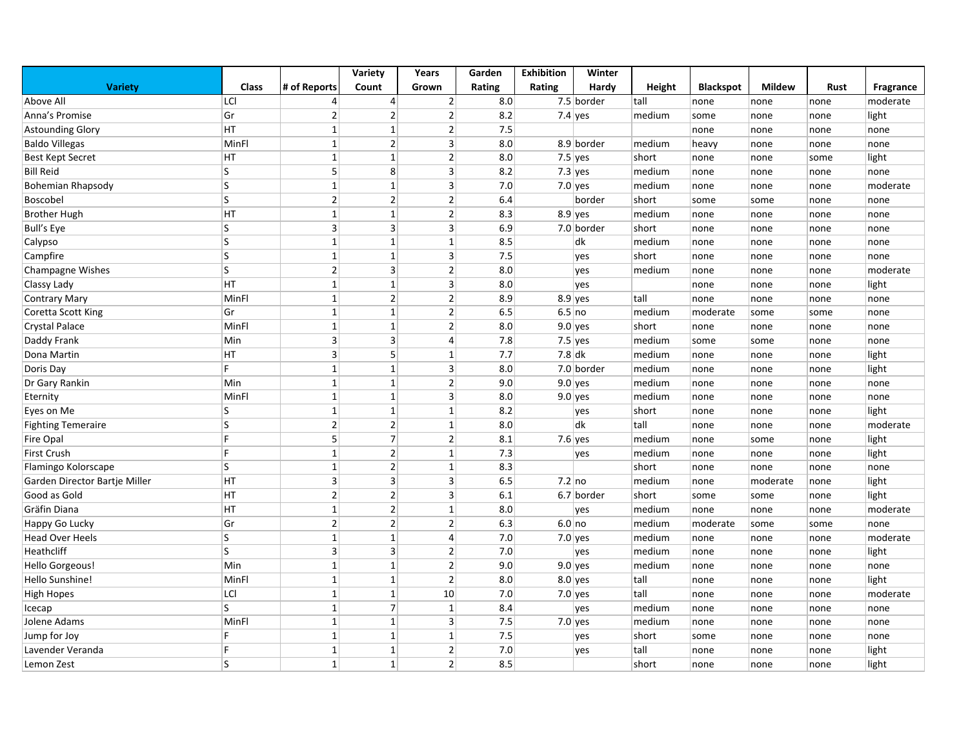|                               |              |                | Variety        | Years                   | Garden | <b>Exhibition</b> | Winter       |        |                  |               |      |           |
|-------------------------------|--------------|----------------|----------------|-------------------------|--------|-------------------|--------------|--------|------------------|---------------|------|-----------|
| <b>Variety</b>                | <b>Class</b> | # of Reports   | Count          | Grown                   | Rating | Rating            | Hardy        | Height | <b>Blackspot</b> | <b>Mildew</b> | Rust | Fragrance |
| Above All                     | LCI          | 4              | $\overline{4}$ | $\overline{2}$          | 8.0    |                   | $7.5$ border | tall   | none             | none          | none | moderate  |
| Anna's Promise                | Gr           | $\overline{2}$ | 2              | $\overline{2}$          | 8.2    |                   | 7.4 yes      | medium | some             | none          | none | light     |
| <b>Astounding Glory</b>       | HT           | $\mathbf{1}$   | $\mathbf{1}$   | $\overline{2}$          | 7.5    |                   |              |        | none             | none          | none | none      |
| <b>Baldo Villegas</b>         | MinFl        | $\mathbf{1}$   | $\overline{2}$ | $\overline{3}$          | 8.0    |                   | 8.9 border   | medium | heavy            | none          | none | none      |
| <b>Best Kept Secret</b>       | HT           | $\mathbf{1}$   | $\mathbf{1}$   | $\overline{c}$          | 8.0    | $7.5$ yes         |              | short  | none             | none          | some | light     |
| <b>Bill Reid</b>              | S            | 5              | 8              | $\overline{3}$          | 8.2    | 7.3 $ yes$        |              | medium | none             | none          | none | none      |
| Bohemian Rhapsody             | S            | $\mathbf{1}$   | $\mathbf{1}$   | $\overline{3}$          | 7.0    | $7.0$ yes         |              | medium | none             | none          | none | moderate  |
| Boscobel                      | S            | $\overline{2}$ | 2              | $\overline{2}$          | 6.4    |                   | border       | short  | some             | some          | none | none      |
| <b>Brother Hugh</b>           | HT           | $\mathbf{1}$   | $\mathbf{1}$   | $\overline{2}$          | 8.3    |                   | $8.9$ yes    | medium | none             | none          | none | none      |
| <b>Bull's Eye</b>             | S            | 3              | $\overline{3}$ | $\overline{3}$          | 6.9    |                   | $7.0$ border | short  | none             | none          | none | none      |
| Calypso                       | S            | $\mathbf{1}$   | $\mathbf{1}$   | $\mathbf 1$             | 8.5    |                   | dk           | medium | none             | none          | none | none      |
| Campfire                      | S            | $\mathbf{1}$   | $\mathbf{1}$   | $\overline{3}$          | 7.5    |                   | yes          | short  | none             | none          | none | none      |
| <b>Champagne Wishes</b>       | S            | $\overline{2}$ | $\mathsf 3$    | $\mathbf{2}$            | 8.0    |                   | yes          | medium | none             | none          | none | moderate  |
| Classy Lady                   | HT           | $\mathbf{1}$   | $\mathbf{1}$   | $\overline{\mathbf{3}}$ | 8.0    |                   | yes          |        | none             | none          | none | light     |
| <b>Contrary Mary</b>          | MinFl        | $\mathbf{1}$   | $\overline{2}$ | $\mathbf{2}$            | 8.9    |                   | $8.9$ yes    | tall   | none             | none          | none | none      |
| Coretta Scott King            | Gr           | 1              | $\mathbf{1}$   | $\mathbf{2}$            | 6.5    | 6.5 no            |              | medium | moderate         | some          | some | none      |
| <b>Crystal Palace</b>         | MinFl        | $\mathbf{1}$   | $\mathbf{1}$   | $\mathbf{2}$            | 8.0    | $9.0$ yes         |              | short  | none             | none          | none | none      |
| Daddy Frank                   | Min          | 3              | $\overline{3}$ | 4                       | 7.8    |                   | $7.5$ yes    | medium | some             | some          | none | none      |
| Dona Martin                   | HT           | 3              | 5              | $1\,$                   | 7.7    | $7.8$ dk          |              | medium | none             | none          | none | light     |
| Doris Day                     | F.           | 1              | $\mathbf{1}$   | $\overline{3}$          | 8.0    |                   | 7.0 border   | medium | none             | none          | none | light     |
| Dr Gary Rankin                | Min          | $\mathbf{1}$   | 1              | $\overline{2}$          | 9.0    |                   | $9.0$ yes    | medium | none             | none          | none | none      |
| Eternity                      | MinFl        | $\mathbf{1}$   | $\mathbf{1}$   | 3                       | 8.0    |                   | $9.0$ yes    | medium | none             | none          | none | none      |
| Eyes on Me                    | S            | $\mathbf{1}$   | $\mathbf{1}$   | $\mathbf{1}$            | 8.2    |                   | yes          | short  | none             | none          | none | light     |
| <b>Fighting Temeraire</b>     | S            | $\overline{2}$ | $\overline{2}$ | $\mathbf{1}$            | 8.0    |                   | dk           | tall   | none             | none          | none | moderate  |
| <b>Fire Opal</b>              | E            | 5              | $\overline{7}$ | $\overline{2}$          | 8.1    |                   | $7.6$ yes    | medium | none             | some          | none | light     |
| <b>First Crush</b>            | F            | $\mathbf{1}$   | $\overline{2}$ | $\mathbf{1}$            | 7.3    |                   | yes          | medium | none             | none          | none | light     |
| Flamingo Kolorscape           | S            | $\mathbf{1}$   | 2              | $\mathbf{1}$            | 8.3    |                   |              | short  | none             | none          | none | none      |
| Garden Director Bartje Miller | HT           | 3              | $\overline{3}$ | $\overline{3}$          | 6.5    | $7.2$ no          |              | medium | none             | moderate      | none | light     |
| Good as Gold                  | HT           | $\overline{2}$ | $\overline{2}$ | $\overline{3}$          | 6.1    |                   | 6.7 border   | short  | some             | some          | none | light     |
| Gräfin Diana                  | HT           | $\mathbf{1}$   | 2              | $\mathbf{1}$            | 8.0    |                   | yes          | medium | none             | none          | none | moderate  |
| Happy Go Lucky                | Gr           | $\overline{2}$ | 2              | $\overline{2}$          | 6.3    | 6.0 no            |              | medium | moderate         | some          | some | none      |
| <b>Head Over Heels</b>        | ls.          | $\mathbf{1}$   | $\mathbf{1}$   | $\overline{4}$          | 7.0    |                   | $7.0$ yes    | medium | none             | none          | none | moderate  |
| Heathcliff                    | S            | 3              | $\overline{3}$ | $\mathbf{2}$            | 7.0    |                   | yes          | medium | none             | none          | none | light     |
| Hello Gorgeous!               | Min          | $\mathbf{1}$   | $\mathbf{1}$   | $\overline{2}$          | 9.0    |                   | $9.0$ yes    | medium | none             | none          | none | none      |
| Hello Sunshine!               | MinFl        | $\mathbf{1}$   | $\mathbf{1}$   | 2                       | 8.0    |                   | $8.0$ yes    | tall   | none             | none          | none | light     |
| High Hopes                    | LCI          | $\mathbf{1}$   | $\mathbf{1}$   | 10                      | 7.0    | 7.0 yes           |              | tall   | none             | none          | none | moderate  |
| Icecap                        | <sub>S</sub> | $\mathbf{1}$   | $\overline{7}$ | $\mathbf 1$             | 8.4    |                   | yes          | medium | none             | none          | none | none      |
| Jolene Adams                  | MinFl        | $\mathbf{1}$   | $\mathbf{1}$   | $\overline{3}$          | 7.5    | 7.0 yes           |              | medium | none             | none          | none | none      |
| Jump for Joy                  | F            | $\mathbf{1}$   | 1              | $\mathbf{1}$            | 7.5    |                   | yes          | short  | some             | none          | none | none      |
| Lavender Veranda              | F            | 1              | $\mathbf{1}$   | $\overline{2}$          | 7.0    |                   | yes          | tall   | none             | none          | none | light     |
| Lemon Zest                    | S            | $\mathbf{1}$   | 1              | $\overline{2}$          | 8.5    |                   |              | short  | none             | none          | none | light     |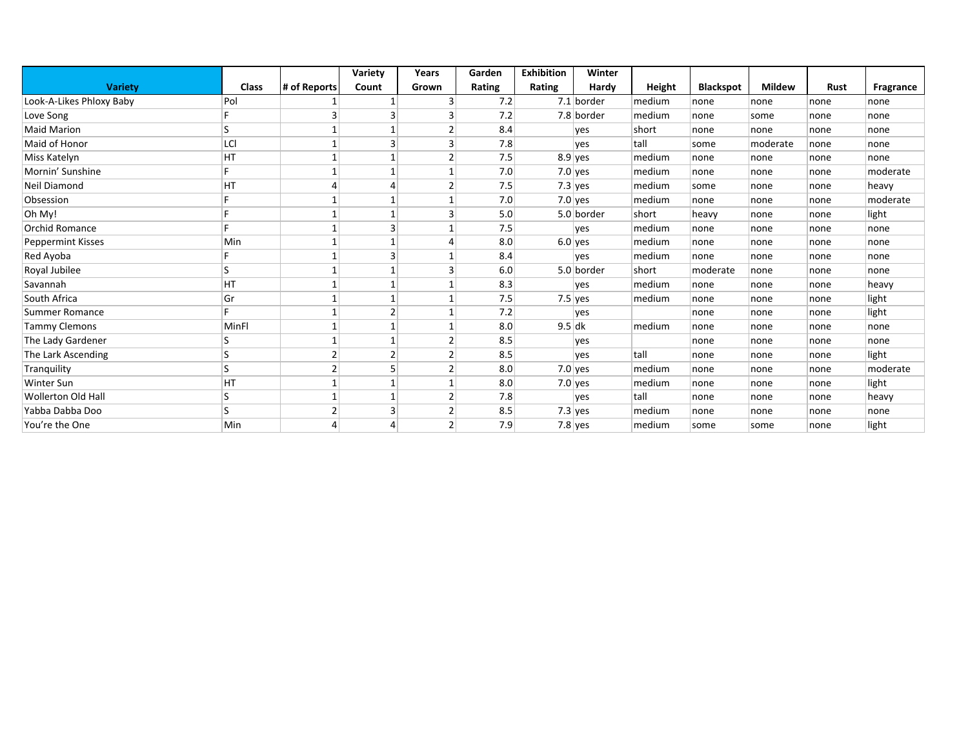|                           |              |                | Variety        | Years          | Garden | <b>Exhibition</b> | Winter     |        |                  |               |      |           |
|---------------------------|--------------|----------------|----------------|----------------|--------|-------------------|------------|--------|------------------|---------------|------|-----------|
| <b>Variety</b>            | <b>Class</b> | # of Reports   | Count          | Grown          | Rating | Rating            | Hardy      | Height | <b>Blackspot</b> | <b>Mildew</b> | Rust | Fragrance |
| Look-A-Likes Phloxy Baby  | Pol          |                |                | 3              | 7.2    |                   | 7.1 border | medium | none             | none          | none | none      |
| Love Song                 |              |                | $\overline{3}$ | 3              | 7.2    |                   | 7.8 border | medium | none             | some          | none | none      |
| <b>Maid Marion</b>        |              |                | $\mathbf{1}$   | 2              | 8.4    |                   | yes        | short  | none             | none          | none | none      |
| Maid of Honor             | LCI          |                | 3              | 3              | 7.8    |                   | yes        | tall   | some             | moderate      | none | none      |
| Miss Katelyn              | HT           |                | 1              | 2              | 7.5    |                   | $8.9$ yes  | medium | none             | none          | none | none      |
| Mornin' Sunshine          |              |                | $\mathbf{1}$   |                | 7.0    |                   | $7.0$ yes  | medium | none             | none          | none | moderate  |
| Neil Diamond              | HT           | Δ              | $\overline{4}$ | 2              | 7.5    |                   | $7.3$ yes  | medium | some             | none          | none | heavy     |
| Obsession                 |              |                | $\mathbf{1}$   |                | 7.0    |                   | $7.0$ yes  | medium | none             | none          | none | moderate  |
| Oh My!                    |              |                | $\mathbf{1}$   | 3              | 5.0    |                   | 5.0 border | short  | heavy            | none          | none | light     |
| <b>Orchid Romance</b>     |              |                | 3              |                | 7.5    |                   | ves        | medium | none             | none          | none | none      |
| Peppermint Kisses         | Min          |                | 1              |                | 8.0    |                   | $6.0$ yes  | medium | none             | none          | none | none      |
| Red Ayoba                 |              |                | 3              |                | 8.4    |                   | yes        | medium | none             | none          | none | none      |
| Royal Jubilee             |              |                | 1              | 3              | 6.0    |                   | 5.0 border | short  | moderate         | none          | none | none      |
| Savannah                  | HT           |                | $\mathbf{1}$   |                | 8.3    |                   | yes        | medium | none             | none          | none | heavy     |
| South Africa              | Gr           |                | $\mathbf{1}$   |                | 7.5    |                   | $7.5$ yes  | medium | none             | none          | none | light     |
| Summer Romance            |              |                | $\overline{2}$ |                | 7.2    |                   | ves        |        | none             | none          | none | light     |
| <b>Tammy Clemons</b>      | MinFl        |                | 1              |                | 8.0    | $9.5$ dk          |            | medium | none             | none          | none | none      |
| The Lady Gardener         |              |                | $\mathbf{1}$   |                | 8.5    |                   | yes        |        | none             | none          | none | none      |
| The Lark Ascending        |              |                | $\overline{2}$ | 2              | 8.5    |                   | yes        | tall   | none             | none          | none | light     |
| Tranquility               |              |                | 5              |                | 8.0    |                   | $7.0$ yes  | medium | none             | none          | none | moderate  |
| Winter Sun                | HT           |                | $\mathbf{1}$   |                | 8.0    |                   | $7.0$ yes  | medium | none             | none          | none | light     |
| <b>Wollerton Old Hall</b> |              |                | $\mathbf{1}$   | 2              | 7.8    |                   | yes        | tall   | none             | none          | none | heavy     |
| Yabba Dabba Doo           |              | $\overline{2}$ | $\overline{3}$ |                | 8.5    |                   | $7.3$ yes  | medium | none             | none          | none | none      |
| You're the One            | Min          | 4              | $\overline{4}$ | $\overline{2}$ | 7.9    |                   | $7.8$ yes  | medium | some             | some          | none | light     |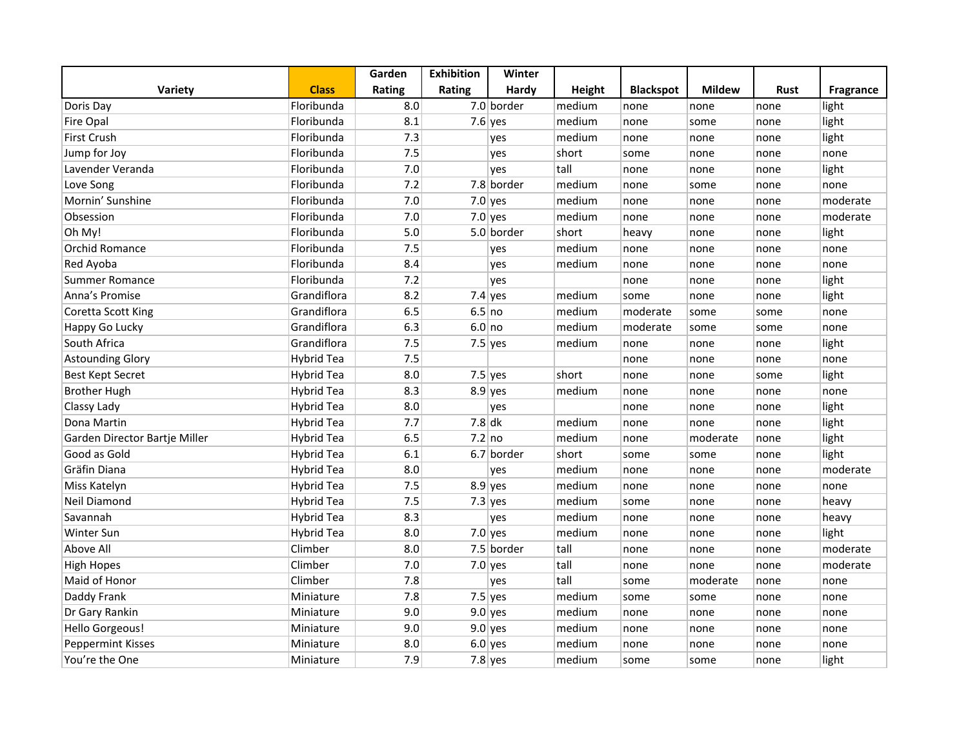|                               |                   | Garden | <b>Exhibition</b> | Winter     |               |                  |               |             |                  |
|-------------------------------|-------------------|--------|-------------------|------------|---------------|------------------|---------------|-------------|------------------|
| Variety                       | <b>Class</b>      | Rating | Rating            | Hardy      | <b>Height</b> | <b>Blackspot</b> | <b>Mildew</b> | <b>Rust</b> | <b>Fragrance</b> |
| Doris Day                     | Floribunda        | 8.0    |                   | 7.0 border | medium        | none             | none          | none        | light            |
| Fire Opal                     | Floribunda        | 8.1    |                   | $7.6$ yes  | medium        | none             | some          | none        | light            |
| <b>First Crush</b>            | Floribunda        | 7.3    |                   | yes        | medium        | none             | none          | none        | light            |
| Jump for Joy                  | Floribunda        | 7.5    |                   | yes        | short         | some             | none          | none        | none             |
| Lavender Veranda              | Floribunda        | 7.0    |                   | yes        | tall          | none             | none          | none        | light            |
| Love Song                     | Floribunda        | 7.2    |                   | 7.8 border | medium        | none             | some          | none        | none             |
| Mornin' Sunshine              | Floribunda        | 7.0    |                   | $7.0$ yes  | medium        | none             | none          | none        | moderate         |
| Obsession                     | Floribunda        | 7.0    |                   | $7.0$ yes  | medium        | none             | none          | none        | moderate         |
| Oh My!                        | Floribunda        | 5.0    |                   | 5.0 border | short         | heavy            | none          | none        | light            |
| <b>Orchid Romance</b>         | Floribunda        | 7.5    |                   | yes        | medium        | none             | none          | none        | none             |
| Red Ayoba                     | Floribunda        | 8.4    |                   | yes        | medium        | none             | none          | none        | none             |
| Summer Romance                | Floribunda        | 7.2    |                   | yes        |               | none             | none          | none        | light            |
| Anna's Promise                | Grandiflora       | 8.2    |                   | $7.4$ yes  | medium        | some             | none          | none        | light            |
| Coretta Scott King            | Grandiflora       | 6.5    | 6.5 no            |            | medium        | moderate         | some          | some        | none             |
| Happy Go Lucky                | Grandiflora       | 6.3    | 6.0 no            |            | medium        | moderate         | some          | some        | none             |
| South Africa                  | Grandiflora       | 7.5    |                   | $7.5$ yes  | medium        | none             | none          | none        | light            |
| <b>Astounding Glory</b>       | Hybrid Tea        | 7.5    |                   |            |               | none             | none          | none        | none             |
| <b>Best Kept Secret</b>       | Hybrid Tea        | 8.0    |                   | $7.5$ yes  | short         | none             | none          | some        | light            |
| <b>Brother Hugh</b>           | Hybrid Tea        | 8.3    |                   | $8.9$ yes  | medium        | none             | none          | none        | none             |
| Classy Lady                   | <b>Hybrid Tea</b> | 8.0    |                   | yes        |               | none             | none          | none        | light            |
| Dona Martin                   | <b>Hybrid Tea</b> | 7.7    | $7.8$ dk          |            | medium        | none             | none          | none        | light            |
| Garden Director Bartje Miller | Hybrid Tea        | 6.5    |                   | $7.2$ no   | medium        | none             | moderate      | none        | light            |
| Good as Gold                  | <b>Hybrid Tea</b> | 6.1    |                   | 6.7 border | short         | some             | some          | none        | light            |
| Gräfin Diana                  | <b>Hybrid Tea</b> | 8.0    |                   | yes        | medium        | none             | none          | none        | moderate         |
| Miss Katelyn                  | <b>Hybrid Tea</b> | 7.5    |                   | $8.9$ yes  | medium        | none             | none          | none        | none             |
| <b>Neil Diamond</b>           | Hybrid Tea        | 7.5    |                   | $7.3$ yes  | medium        | some             | none          | none        | heavy            |
| Savannah                      | Hybrid Tea        | 8.3    |                   | yes        | medium        | none             | none          | none        | heavy            |
| <b>Winter Sun</b>             | Hybrid Tea        | 8.0    |                   | $7.0$ yes  | medium        | none             | none          | none        | light            |
| Above All                     | Climber           | 8.0    |                   | 7.5 border | tall          | none             | none          | none        | moderate         |
| <b>High Hopes</b>             | Climber           | 7.0    |                   | $7.0$ yes  | tall          | none             | none          | none        | moderate         |
| Maid of Honor                 | Climber           | 7.8    |                   | yes        | tall          | some             | moderate      | none        | none             |
| Daddy Frank                   | Miniature         | 7.8    |                   | $7.5$ yes  | medium        | some             | some          | none        | none             |
| Dr Gary Rankin                | Miniature         | 9.0    |                   | $9.0$ yes  | medium        | none             | none          | none        | none             |
| Hello Gorgeous!               | Miniature         | 9.0    |                   | $9.0$ yes  | medium        | none             | none          | none        | none             |
| <b>Peppermint Kisses</b>      | Miniature         | 8.0    |                   | $6.0$ yes  | medium        | none             | none          | none        | none             |
| You're the One                | Miniature         | 7.9    |                   | $7.8$ yes  | medium        | some             | some          | none        | light            |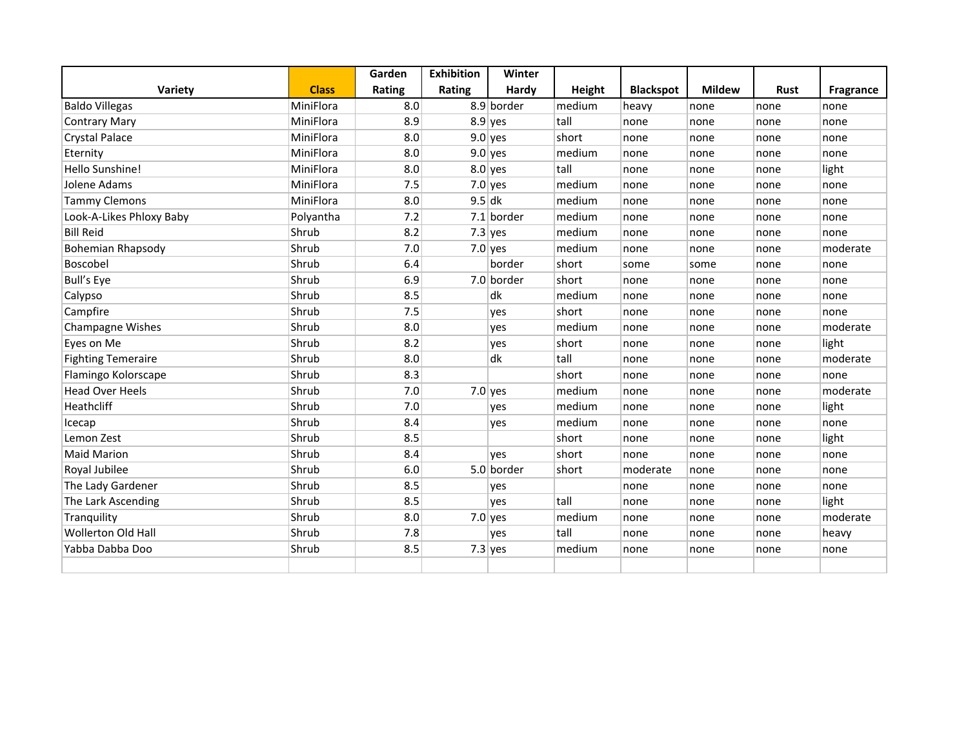|                           |              | Garden | <b>Exhibition</b> | Winter     |        |                  |               |             |                  |
|---------------------------|--------------|--------|-------------------|------------|--------|------------------|---------------|-------------|------------------|
| Variety                   | <b>Class</b> | Rating | Rating            | Hardy      | Height | <b>Blackspot</b> | <b>Mildew</b> | <b>Rust</b> | <b>Fragrance</b> |
| <b>Baldo Villegas</b>     | MiniFlora    | 8.0    |                   | 8.9 border | medium | heavy            | none          | none        | none             |
| <b>Contrary Mary</b>      | MiniFlora    | 8.9    |                   | $8.9$ yes  | tall   | none             | none          | none        | none             |
| <b>Crystal Palace</b>     | MiniFlora    | 8.0    |                   | $9.0$ yes  | short  | none             | none          | none        | none             |
| Eternity                  | MiniFlora    | 8.0    |                   | $9.0$ yes  | medium | none             | none          | none        | none             |
| Hello Sunshine!           | MiniFlora    | 8.0    |                   | $8.0$ yes  | tall   | none             | none          | none        | light            |
| Jolene Adams              | MiniFlora    | 7.5    |                   | $7.0$ yes  | medium | none             | none          | none        | none             |
| <b>Tammy Clemons</b>      | MiniFlora    | 8.0    |                   | $9.5$ dk   | medium | none             | none          | none        | none             |
| Look-A-Likes Phloxy Baby  | Polyantha    | 7.2    |                   | 7.1 border | medium | none             | none          | none        | none             |
| <b>Bill Reid</b>          | Shrub        | 8.2    |                   | $7.3$ yes  | medium | none             | none          | none        | none             |
| <b>Bohemian Rhapsody</b>  | Shrub        | 7.0    |                   | $7.0$ yes  | medium | none             | none          | none        | moderate         |
| Boscobel                  | Shrub        | 6.4    |                   | border     | short  | some             | some          | none        | none             |
| <b>Bull's Eye</b>         | Shrub        | 6.9    |                   | 7.0 border | short  | none             | none          | none        | none             |
| Calypso                   | Shrub        | 8.5    |                   | dk         | medium | none             | none          | none        | none             |
| Campfire                  | Shrub        | 7.5    |                   | yes        | short  | none             | none          | none        | none             |
| <b>Champagne Wishes</b>   | Shrub        | 8.0    |                   | yes        | medium | none             | none          | none        | moderate         |
| Eyes on Me                | Shrub        | 8.2    |                   | yes        | short  | none             | none          | none        | light            |
| <b>Fighting Temeraire</b> | Shrub        | 8.0    |                   | dk         | tall   | none             | none          | none        | moderate         |
| Flamingo Kolorscape       | Shrub        | 8.3    |                   |            | short  | none             | none          | none        | none             |
| <b>Head Over Heels</b>    | Shrub        | 7.0    |                   | $7.0$ yes  | medium | none             | none          | none        | moderate         |
| Heathcliff                | Shrub        | 7.0    |                   | yes        | medium | none             | none          | none        | light            |
| Icecap                    | Shrub        | 8.4    |                   | yes        | medium | none             | none          | none        | none             |
| Lemon Zest                | Shrub        | 8.5    |                   |            | short  | none             | none          | none        | light            |
| <b>Maid Marion</b>        | Shrub        | 8.4    |                   | yes        | short  | none             | none          | none        | none             |
| Royal Jubilee             | Shrub        | 6.0    |                   | 5.0 border | short  | moderate         | none          | none        | none             |
| The Lady Gardener         | Shrub        | 8.5    |                   | yes        |        | none             | none          | none        | none             |
| The Lark Ascending        | Shrub        | 8.5    |                   | yes        | tall   | none             | none          | none        | light            |
| Tranquility               | Shrub        | 8.0    |                   | $7.0$ yes  | medium | none             | none          | none        | moderate         |
| <b>Wollerton Old Hall</b> | Shrub        | 7.8    |                   | yes        | tall   | none             | none          | none        | heavy            |
| Yabba Dabba Doo           | Shrub        | 8.5    |                   | $7.3$ yes  | medium | none             | none          | none        | none             |
|                           |              |        |                   |            |        |                  |               |             |                  |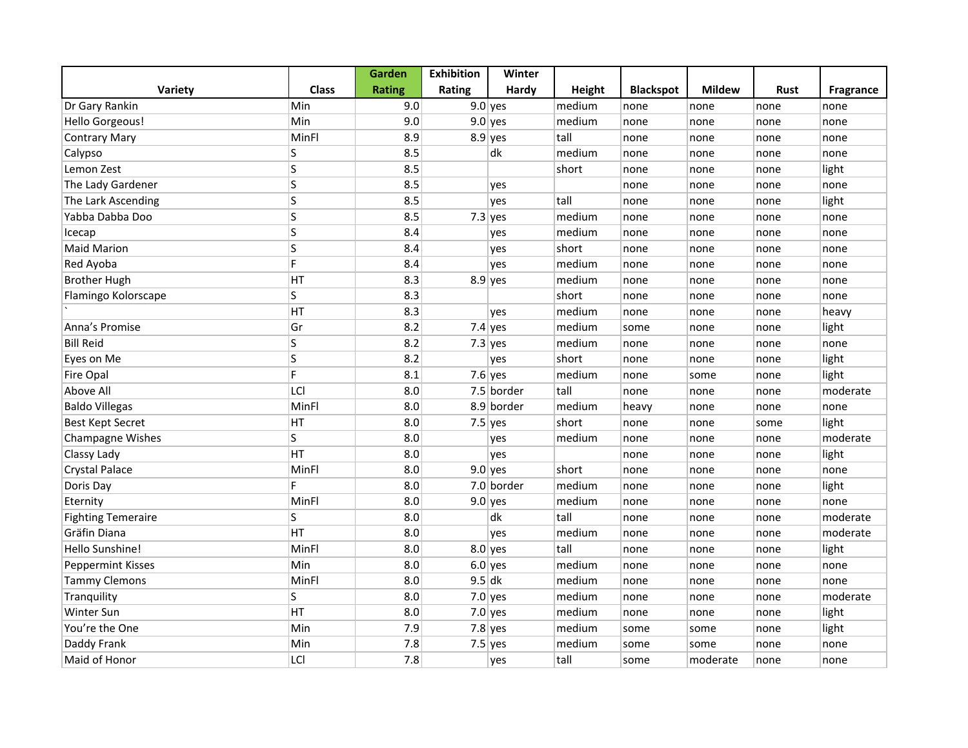|                           |              | Garden        | <b>Exhibition</b> | Winter     |               |                  |               |      |           |
|---------------------------|--------------|---------------|-------------------|------------|---------------|------------------|---------------|------|-----------|
| <b>Variety</b>            | <b>Class</b> | <b>Rating</b> | Rating            | Hardy      | <b>Height</b> | <b>Blackspot</b> | <b>Mildew</b> | Rust | Fragrance |
| Dr Gary Rankin            | Min          | 9.0           |                   | $9.0$ yes  | medium        | none             | none          | none | none      |
| <b>Hello Gorgeous!</b>    | Min          | 9.0           |                   | $9.0$ yes  | medium        | none             | none          | none | none      |
| <b>Contrary Mary</b>      | MinFl        | 8.9           |                   | $8.9$ yes  | tall          | none             | none          | none | none      |
| Calypso                   | S            | 8.5           |                   | dk         | medium        | none             | none          | none | none      |
| Lemon Zest                | S            | 8.5           |                   |            | short         | none             | none          | none | light     |
| The Lady Gardener         | S            | 8.5           |                   | yes        |               | none             | none          | none | none      |
| The Lark Ascending        | S            | 8.5           |                   | yes        | tall          | none             | none          | none | light     |
| Yabba Dabba Doo           | S            | 8.5           |                   | $7.3$ yes  | medium        | none             | none          | none | none      |
| Icecap                    | S            | 8.4           |                   | yes        | medium        | none             | none          | none | none      |
| <b>Maid Marion</b>        | S            | 8.4           |                   | yes        | short         | none             | none          | none | none      |
| Red Ayoba                 | F.           | 8.4           |                   | yes        | medium        | none             | none          | none | none      |
| <b>Brother Hugh</b>       | HT           | 8.3           |                   | $8.9$ yes  | medium        | none             | none          | none | none      |
| Flamingo Kolorscape       | S            | 8.3           |                   |            | short         | none             | none          | none | none      |
|                           | HT           | 8.3           |                   | yes        | medium        | none             | none          | none | heavy     |
| Anna's Promise            | Gr           | 8.2           |                   | $7.4$ yes  | medium        | some             | none          | none | light     |
| <b>Bill Reid</b>          | S            | 8.2           |                   | $7.3$ yes  | medium        | none             | none          | none | none      |
| Eyes on Me                | S            | 8.2           |                   | yes        | short         | none             | none          | none | light     |
| <b>Fire Opal</b>          | F            | 8.1           |                   | 7.6 yes    | medium        | none             | some          | none | light     |
| Above All                 | LCI          | 8.0           |                   | 7.5 border | tall          | none             | none          | none | moderate  |
| <b>Baldo Villegas</b>     | MinFl        | 8.0           |                   | 8.9 border | medium        | heavy            | none          | none | none      |
| <b>Best Kept Secret</b>   | HT           | 8.0           |                   | $7.5$ yes  | short         | none             | none          | some | light     |
| <b>Champagne Wishes</b>   | S            | 8.0           |                   | yes        | medium        | none             | none          | none | moderate  |
| Classy Lady               | HT           | 8.0           |                   | yes        |               | none             | none          | none | light     |
| <b>Crystal Palace</b>     | MinFl        | 8.0           |                   | $9.0$ yes  | short         | none             | none          | none | none      |
| Doris Day                 | F.           | 8.0           |                   | 7.0 border | medium        | none             | none          | none | light     |
| Eternity                  | MinFl        | 8.0           |                   | $9.0$ yes  | medium        | none             | none          | none | none      |
| <b>Fighting Temeraire</b> | S            | 8.0           |                   | dk         | tall          | none             | none          | none | moderate  |
| Gräfin Diana              | HT           | 8.0           |                   | yes        | medium        | none             | none          | none | moderate  |
| Hello Sunshine!           | MinFl        | 8.0           |                   | $8.0$ yes  | tall          | none             | none          | none | light     |
| <b>Peppermint Kisses</b>  | Min          | 8.0           |                   | $6.0$ yes  | medium        | none             | none          | none | none      |
| <b>Tammy Clemons</b>      | MinFl        | 8.0           | $9.5$ dk          |            | medium        | none             | none          | none | none      |
| Tranquility               | S            | 8.0           |                   | $7.0$ yes  | medium        | none             | none          | none | moderate  |
| Winter Sun                | HT           | 8.0           |                   | $7.0$ yes  | medium        | none             | none          | none | light     |
| You're the One            | Min          | 7.9           |                   | $7.8$ yes  | medium        | some             | some          | none | light     |
| Daddy Frank               | Min          | 7.8           |                   | $7.5$ yes  | medium        | some             | some          | none | none      |
| Maid of Honor             | LCI          | 7.8           |                   | yes        | tall          | some             | moderate      | none | none      |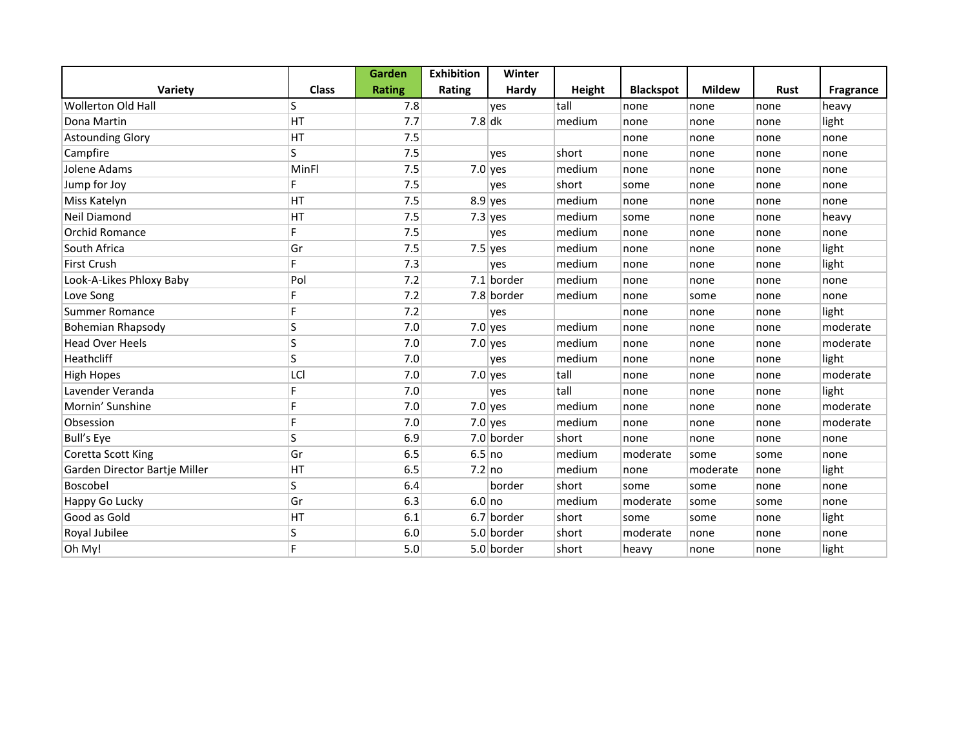|                               |              | Garden        | <b>Exhibition</b> | Winter     |        |                  |               |             |                  |
|-------------------------------|--------------|---------------|-------------------|------------|--------|------------------|---------------|-------------|------------------|
| Variety                       | <b>Class</b> | <b>Rating</b> | Rating            | Hardy      | Height | <b>Blackspot</b> | <b>Mildew</b> | <b>Rust</b> | <b>Fragrance</b> |
| <b>Wollerton Old Hall</b>     | S            | 7.8           |                   | yes        | tall   | none             | none          | none        | heavy            |
| Dona Martin                   | HT           | 7.7           | $7.8$ dk          |            | medium | none             | none          | none        | light            |
| <b>Astounding Glory</b>       | HT           | 7.5           |                   |            |        | none             | none          | none        | none             |
| Campfire                      | S.           | 7.5           |                   | yes        | short  | none             | none          | none        | none             |
| Jolene Adams                  | MinFl        | 7.5           |                   | $7.0$ yes  | medium | none             | none          | none        | none             |
| Jump for Joy                  | F.           | 7.5           |                   | yes        | short  | some             | none          | none        | none             |
| Miss Katelyn                  | HT           | 7.5           |                   | $8.9$ yes  | medium | none             | none          | none        | none             |
| Neil Diamond                  | HT           | 7.5           |                   | $7.3$ yes  | medium | some             | none          | none        | heavy            |
| Orchid Romance                | F.           | 7.5           |                   | yes        | medium | none             | none          | none        | none             |
| South Africa                  | Gr           | 7.5           |                   | $7.5$ yes  | medium | none             | none          | none        | light            |
| First Crush                   | F.           | 7.3           |                   | yes        | medium | none             | none          | none        | light            |
| Look-A-Likes Phloxy Baby      | Pol          | 7.2           |                   | 7.1 border | medium | none             | none          | none        | none             |
| Love Song                     | F            | 7.2           |                   | 7.8 border | medium | none             | some          | none        | none             |
| <b>Summer Romance</b>         | F            | 7.2           |                   | yes        |        | none             | none          | none        | light            |
| Bohemian Rhapsody             | S            | 7.0           |                   | $7.0$ yes  | medium | none             | none          | none        | moderate         |
| <b>Head Over Heels</b>        | S            | 7.0           |                   | $7.0$ yes  | medium | none             | none          | none        | moderate         |
| Heathcliff                    | S            | 7.0           |                   | yes        | medium | none             | none          | none        | light            |
| <b>High Hopes</b>             | LCI          | 7.0           |                   | $7.0$ yes  | tall   | none             | none          | none        | moderate         |
| Lavender Veranda              | F            | 7.0           |                   | yes        | tall   | none             | none          | none        | light            |
| Mornin' Sunshine              | F            | 7.0           |                   | $7.0$ yes  | medium | none             | none          | none        | moderate         |
| Obsession                     | F            | 7.0           |                   | $7.0$ yes  | medium | none             | none          | none        | moderate         |
| <b>Bull's Eye</b>             | S            | 6.9           |                   | 7.0 border | short  | none             | none          | none        | none             |
| Coretta Scott King            | Gr           | 6.5           | 6.5 no            |            | medium | moderate         | some          | some        | none             |
| Garden Director Bartje Miller | HT           | 6.5           | 7.2 no            |            | medium | none             | moderate      | none        | light            |
| Boscobel                      | S            | 6.4           |                   | border     | short  | some             | some          | none        | none             |
| Happy Go Lucky                | Gr           | 6.3           | $6.0$ no          |            | medium | moderate         | some          | some        | none             |
| Good as Gold                  | HT           | 6.1           |                   | 6.7 border | short  | some             | some          | none        | light            |
| Royal Jubilee                 | S            | 6.0           |                   | 5.0 border | short  | moderate         | none          | none        | none             |
| Oh My!                        | F            | 5.0           |                   | 5.0 border | short  | heavy            | none          | none        | light            |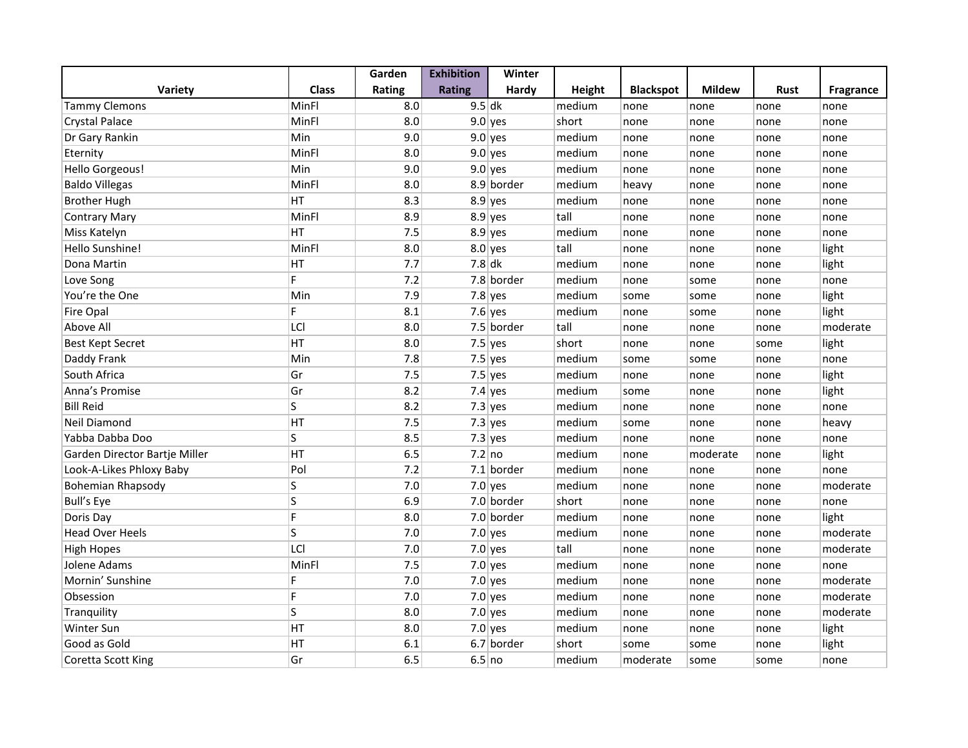|                               |              | Garden | <b>Exhibition</b> | Winter       |               |                  |               |             |           |
|-------------------------------|--------------|--------|-------------------|--------------|---------------|------------------|---------------|-------------|-----------|
| <b>Variety</b>                | <b>Class</b> | Rating | <b>Rating</b>     | Hardy        | <b>Height</b> | <b>Blackspot</b> | <b>Mildew</b> | <b>Rust</b> | Fragrance |
| <b>Tammy Clemons</b>          | MinFl        | 8.0    | $9.5$ dk          |              | medium        | none             | none          | none        | none      |
| <b>Crystal Palace</b>         | MinFl        | 8.0    |                   | $9.0$ yes    | short         | none             | none          | none        | none      |
| Dr Gary Rankin                | Min          | 9.0    |                   | $9.0$ yes    | medium        | none             | none          | none        | none      |
| Eternity                      | MinFl        | 8.0    |                   | $9.0$ yes    | medium        | none             | none          | none        | none      |
| Hello Gorgeous!               | Min          | 9.0    |                   | $9.0$ yes    | medium        | none             | none          | none        | none      |
| <b>Baldo Villegas</b>         | MinFl        | 8.0    |                   | 8.9 border   | medium        | heavy            | none          | none        | none      |
| <b>Brother Hugh</b>           | HT           | 8.3    |                   | $8.9$ yes    | medium        | none             | none          | none        | none      |
| <b>Contrary Mary</b>          | MinFl        | 8.9    |                   | $8.9$ yes    | tall          | none             | none          | none        | none      |
| Miss Katelyn                  | HT           | 7.5    |                   | $8.9$ yes    | medium        | none             | none          | none        | none      |
| Hello Sunshine!               | MinFl        | 8.0    |                   | $8.0$ yes    | tall          | none             | none          | none        | light     |
| Dona Martin                   | HT           | 7.7    | $7.8$ dk          |              | medium        | none             | none          | none        | light     |
| Love Song                     | F.           | 7.2    |                   | 7.8 border   | medium        | none             | some          | none        | none      |
| You're the One                | Min          | 7.9    |                   | $7.8$ yes    | medium        | some             | some          | none        | light     |
| <b>Fire Opal</b>              | F.           | 8.1    |                   | $7.6$ yes    | medium        | none             | some          | none        | light     |
| Above All                     | LCI          | 8.0    |                   | 7.5 border   | tall          | none             | none          | none        | moderate  |
| <b>Best Kept Secret</b>       | HT           | 8.0    |                   | $7.5$ yes    | short         | none             | none          | some        | light     |
| Daddy Frank                   | Min          | 7.8    |                   | $7.5$ yes    | medium        | some             | some          | none        | none      |
| South Africa                  | Gr           | 7.5    |                   | $7.5$ yes    | medium        | none             | none          | none        | light     |
| Anna's Promise                | Gr           | 8.2    |                   | $7.4$ yes    | medium        | some             | none          | none        | light     |
| <b>Bill Reid</b>              | S            | 8.2    |                   | $7.3$ yes    | medium        | none             | none          | none        | none      |
| Neil Diamond                  | HT           | 7.5    |                   | $7.3$ yes    | medium        | some             | none          | none        | heavy     |
| Yabba Dabba Doo               | S            | 8.5    |                   | $7.3$ yes    | medium        | none             | none          | none        | none      |
| Garden Director Bartje Miller | HT           | 6.5    | $7.2$ no          |              | medium        | none             | moderate      | none        | light     |
| Look-A-Likes Phloxy Baby      | Pol          | 7.2    |                   | $7.1$ border | medium        | none             | none          | none        | none      |
| <b>Bohemian Rhapsody</b>      | S            | 7.0    |                   | $7.0$ yes    | medium        | none             | none          | none        | moderate  |
| <b>Bull's Eye</b>             | S            | 6.9    |                   | 7.0 border   | short         | none             | none          | none        | none      |
| Doris Day                     | F.           | 8.0    |                   | 7.0 border   | medium        | none             | none          | none        | light     |
| <b>Head Over Heels</b>        | S            | 7.0    |                   | $7.0$ yes    | medium        | none             | none          | none        | moderate  |
| <b>High Hopes</b>             | LCI          | 7.0    |                   | $7.0$ yes    | tall          | none             | none          | none        | moderate  |
| Jolene Adams                  | MinFl        | 7.5    |                   | $7.0$ yes    | medium        | none             | none          | none        | none      |
| Mornin' Sunshine              | F            | 7.0    |                   | $7.0$ yes    | medium        | none             | none          | none        | moderate  |
| Obsession                     | F            | 7.0    |                   | $7.0$ yes    | medium        | none             | none          | none        | moderate  |
| Tranquility                   | S            | 8.0    |                   | $7.0$ yes    | medium        | none             | none          | none        | moderate  |
| Winter Sun                    | HT           | 8.0    |                   | $7.0$ yes    | medium        | none             | none          | none        | light     |
| Good as Gold                  | HT           | 6.1    |                   | 6.7 border   | short         | some             | some          | none        | light     |
| Coretta Scott King            | Gr           | 6.5    | 6.5 no            |              | medium        | moderate         | some          | some        | none      |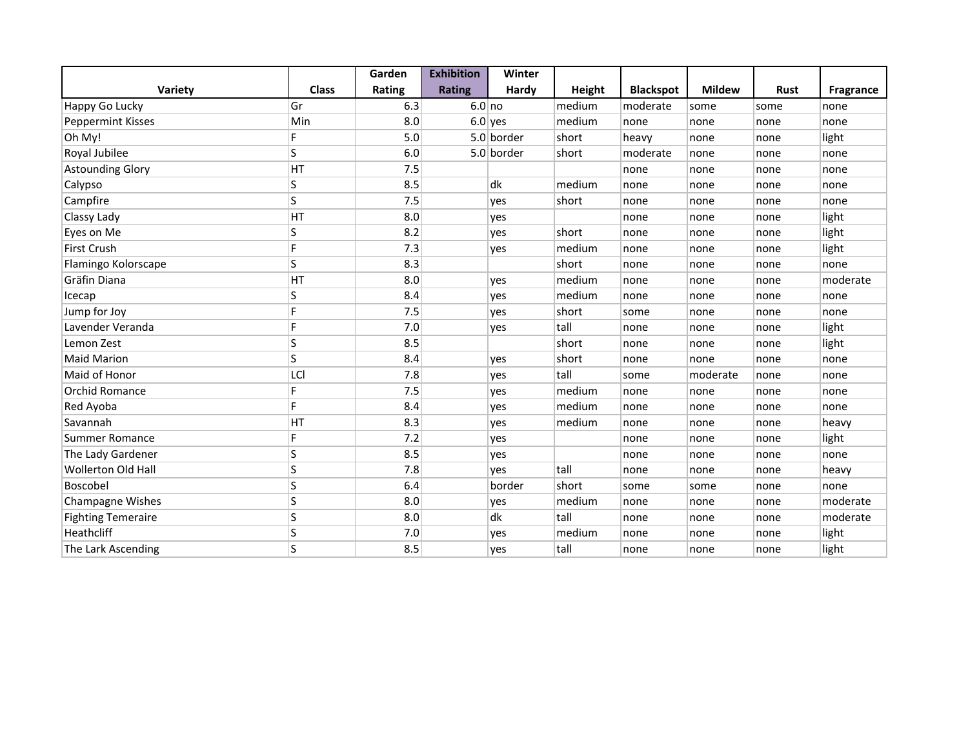|                           |              | Garden | <b>Exhibition</b> | Winter     |        |                  |               |             |           |
|---------------------------|--------------|--------|-------------------|------------|--------|------------------|---------------|-------------|-----------|
| Variety                   | <b>Class</b> | Rating | <b>Rating</b>     | Hardy      | Height | <b>Blackspot</b> | <b>Mildew</b> | <b>Rust</b> | Fragrance |
| Happy Go Lucky            | Gr           | 6.3    | $6.0$ no          |            | medium | moderate         | some          | some        | none      |
| Peppermint Kisses         | Min          | 8.0    |                   | $6.0$ yes  | medium | none             | none          | none        | none      |
| Oh My!                    | F.           | 5.0    |                   | 5.0 border | short  | heavy            | none          | none        | light     |
| Royal Jubilee             | S            | 6.0    |                   | 5.0 border | short  | moderate         | none          | none        | none      |
| <b>Astounding Glory</b>   | HT           | 7.5    |                   |            |        | none             | none          | none        | none      |
| Calypso                   | S            | 8.5    |                   | dk         | medium | none             | none          | none        | none      |
| Campfire                  | S            | 7.5    |                   | yes        | short  | none             | none          | none        | none      |
| Classy Lady               | HT           | 8.0    |                   | yes        |        | none             | none          | none        | light     |
| Eyes on Me                | S            | 8.2    |                   | yes        | short  | none             | none          | none        | light     |
| <b>First Crush</b>        | F            | 7.3    |                   | yes        | medium | none             | none          | none        | light     |
| Flamingo Kolorscape       | S            | 8.3    |                   |            | short  | none             | none          | none        | none      |
| Gräfin Diana              | HT           | 8.0    |                   | yes        | medium | none             | none          | none        | moderate  |
| Icecap                    | S            | 8.4    |                   | yes        | medium | none             | none          | none        | none      |
| Jump for Joy              | F            | 7.5    |                   | yes        | short  | some             | none          | none        | none      |
| Lavender Veranda          | F            | 7.0    |                   | yes        | tall   | none             | none          | none        | light     |
| Lemon Zest                | S            | 8.5    |                   |            | short  | none             | none          | none        | light     |
| <b>Maid Marion</b>        | S            | 8.4    |                   | yes        | short  | none             | none          | none        | none      |
| Maid of Honor             | LCI          | 7.8    |                   | yes        | tall   | some             | moderate      | none        | none      |
| <b>Orchid Romance</b>     | F.           | 7.5    |                   | yes        | medium | none             | none          | none        | none      |
| Red Ayoba                 | F.           | 8.4    |                   | yes        | medium | none             | none          | none        | none      |
| Savannah                  | HT           | 8.3    |                   | yes        | medium | none             | none          | none        | heavy     |
| <b>Summer Romance</b>     | F            | 7.2    |                   | yes        |        | none             | none          | none        | light     |
| The Lady Gardener         | S            | 8.5    |                   | yes        |        | none             | none          | none        | none      |
| <b>Wollerton Old Hall</b> | S            | 7.8    |                   | yes        | tall   | none             | none          | none        | heavy     |
| Boscobel                  | S            | 6.4    |                   | border     | short  | some             | some          | none        | none      |
| Champagne Wishes          | S            | 8.0    |                   | yes        | medium | none             | none          | none        | moderate  |
| <b>Fighting Temeraire</b> | S            | 8.0    |                   | dk         | tall   | none             | none          | none        | moderate  |
| Heathcliff                | S            | 7.0    |                   | yes        | medium | none             | none          | none        | light     |
| The Lark Ascending        | S            | 8.5    |                   | yes        | tall   | none             | none          | none        | light     |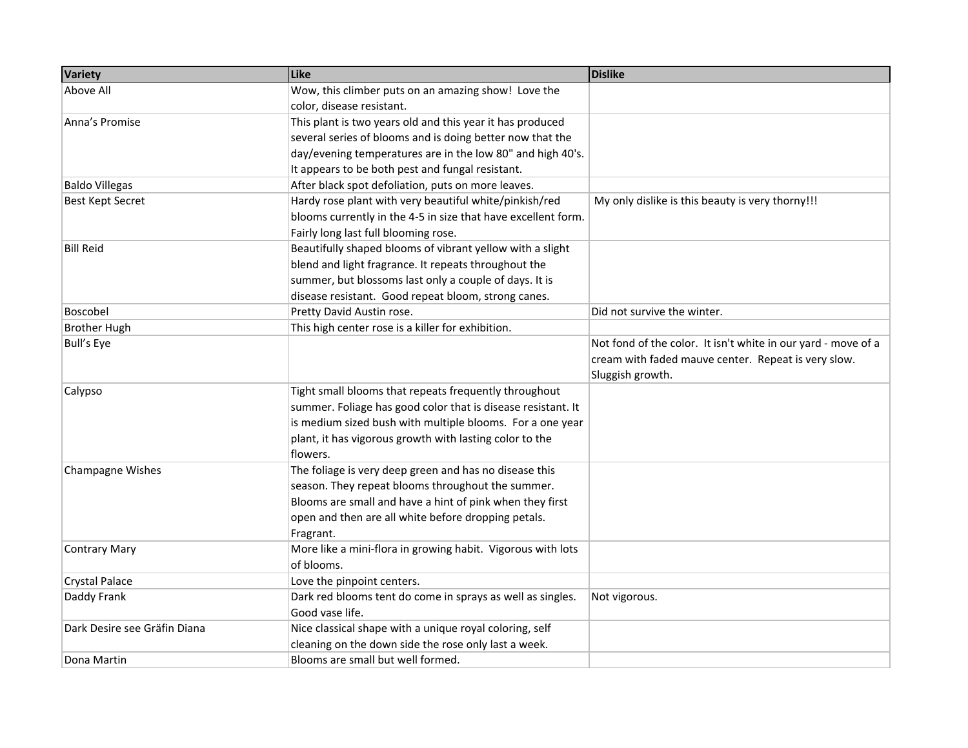| <b>Variety</b>               | Like                                                          | <b>Dislike</b>                                                |
|------------------------------|---------------------------------------------------------------|---------------------------------------------------------------|
| Above All                    | Wow, this climber puts on an amazing show! Love the           |                                                               |
|                              | color, disease resistant.                                     |                                                               |
| Anna's Promise               | This plant is two years old and this year it has produced     |                                                               |
|                              | several series of blooms and is doing better now that the     |                                                               |
|                              | day/evening temperatures are in the low 80" and high 40's.    |                                                               |
|                              | It appears to be both pest and fungal resistant.              |                                                               |
| <b>Baldo Villegas</b>        | After black spot defoliation, puts on more leaves.            |                                                               |
| <b>Best Kept Secret</b>      | Hardy rose plant with very beautiful white/pinkish/red        | My only dislike is this beauty is very thorny!!!              |
|                              | blooms currently in the 4-5 in size that have excellent form. |                                                               |
|                              | Fairly long last full blooming rose.                          |                                                               |
| <b>Bill Reid</b>             | Beautifully shaped blooms of vibrant yellow with a slight     |                                                               |
|                              | blend and light fragrance. It repeats throughout the          |                                                               |
|                              | summer, but blossoms last only a couple of days. It is        |                                                               |
|                              | disease resistant. Good repeat bloom, strong canes.           |                                                               |
| Boscobel                     | Pretty David Austin rose.                                     | Did not survive the winter.                                   |
| <b>Brother Hugh</b>          | This high center rose is a killer for exhibition.             |                                                               |
| <b>Bull's Eye</b>            |                                                               | Not fond of the color. It isn't white in our yard - move of a |
|                              |                                                               | cream with faded mauve center. Repeat is very slow.           |
|                              |                                                               | Sluggish growth.                                              |
| Calypso                      | Tight small blooms that repeats frequently throughout         |                                                               |
|                              | summer. Foliage has good color that is disease resistant. It  |                                                               |
|                              | is medium sized bush with multiple blooms. For a one year     |                                                               |
|                              | plant, it has vigorous growth with lasting color to the       |                                                               |
|                              | flowers.                                                      |                                                               |
| Champagne Wishes             | The foliage is very deep green and has no disease this        |                                                               |
|                              | season. They repeat blooms throughout the summer.             |                                                               |
|                              | Blooms are small and have a hint of pink when they first      |                                                               |
|                              | open and then are all white before dropping petals.           |                                                               |
|                              | Fragrant.                                                     |                                                               |
| <b>Contrary Mary</b>         | More like a mini-flora in growing habit. Vigorous with lots   |                                                               |
|                              | of blooms.                                                    |                                                               |
| <b>Crystal Palace</b>        | Love the pinpoint centers.                                    |                                                               |
| Daddy Frank                  | Dark red blooms tent do come in sprays as well as singles.    | Not vigorous.                                                 |
|                              | Good vase life.                                               |                                                               |
| Dark Desire see Gräfin Diana | Nice classical shape with a unique royal coloring, self       |                                                               |
|                              | cleaning on the down side the rose only last a week.          |                                                               |
| Dona Martin                  | Blooms are small but well formed.                             |                                                               |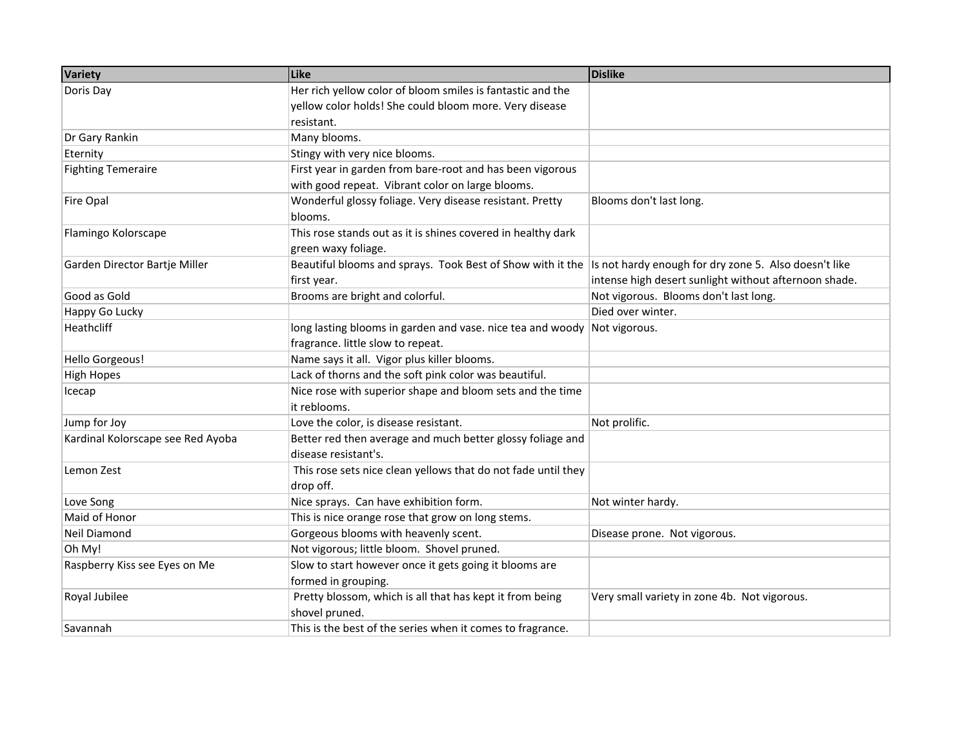| Variety                           | Like                                                                                                             | <b>Dislike</b>                                        |
|-----------------------------------|------------------------------------------------------------------------------------------------------------------|-------------------------------------------------------|
| Doris Day                         | Her rich yellow color of bloom smiles is fantastic and the                                                       |                                                       |
|                                   | yellow color holds! She could bloom more. Very disease                                                           |                                                       |
|                                   | resistant.                                                                                                       |                                                       |
| Dr Gary Rankin                    | Many blooms.                                                                                                     |                                                       |
| Eternity                          | Stingy with very nice blooms.                                                                                    |                                                       |
| <b>Fighting Temeraire</b>         | First year in garden from bare-root and has been vigorous                                                        |                                                       |
|                                   | with good repeat. Vibrant color on large blooms.                                                                 |                                                       |
| Fire Opal                         | Wonderful glossy foliage. Very disease resistant. Pretty                                                         | Blooms don't last long.                               |
|                                   | blooms.                                                                                                          |                                                       |
| Flamingo Kolorscape               | This rose stands out as it is shines covered in healthy dark                                                     |                                                       |
|                                   | green waxy foliage.                                                                                              |                                                       |
| Garden Director Bartje Miller     | Beautiful blooms and sprays. Took Best of Show with it the Is not hardy enough for dry zone 5. Also doesn't like |                                                       |
|                                   | first year.                                                                                                      | intense high desert sunlight without afternoon shade. |
| Good as Gold                      | Brooms are bright and colorful.                                                                                  | Not vigorous. Blooms don't last long.                 |
| Happy Go Lucky                    |                                                                                                                  | Died over winter.                                     |
| Heathcliff                        | long lasting blooms in garden and vase. nice tea and woody Not vigorous.                                         |                                                       |
|                                   | fragrance. little slow to repeat.                                                                                |                                                       |
| Hello Gorgeous!                   | Name says it all. Vigor plus killer blooms.                                                                      |                                                       |
| <b>High Hopes</b>                 | Lack of thorns and the soft pink color was beautiful.                                                            |                                                       |
| Icecap                            | Nice rose with superior shape and bloom sets and the time                                                        |                                                       |
|                                   | it reblooms.                                                                                                     |                                                       |
| Jump for Joy                      | Love the color, is disease resistant.                                                                            | Not prolific.                                         |
| Kardinal Kolorscape see Red Ayoba | Better red then average and much better glossy foliage and                                                       |                                                       |
|                                   | disease resistant's.                                                                                             |                                                       |
| Lemon Zest                        | This rose sets nice clean yellows that do not fade until they                                                    |                                                       |
|                                   | drop off.                                                                                                        |                                                       |
| Love Song                         | Nice sprays. Can have exhibition form.                                                                           | Not winter hardy.                                     |
| Maid of Honor                     | This is nice orange rose that grow on long stems.                                                                |                                                       |
| Neil Diamond                      | Gorgeous blooms with heavenly scent.                                                                             | Disease prone. Not vigorous.                          |
| Oh My!                            | Not vigorous; little bloom. Shovel pruned.                                                                       |                                                       |
| Raspberry Kiss see Eyes on Me     | Slow to start however once it gets going it blooms are                                                           |                                                       |
|                                   | formed in grouping.                                                                                              |                                                       |
| Royal Jubilee                     | Pretty blossom, which is all that has kept it from being                                                         | Very small variety in zone 4b. Not vigorous.          |
|                                   | shovel pruned.                                                                                                   |                                                       |
| Savannah                          | This is the best of the series when it comes to fragrance.                                                       |                                                       |